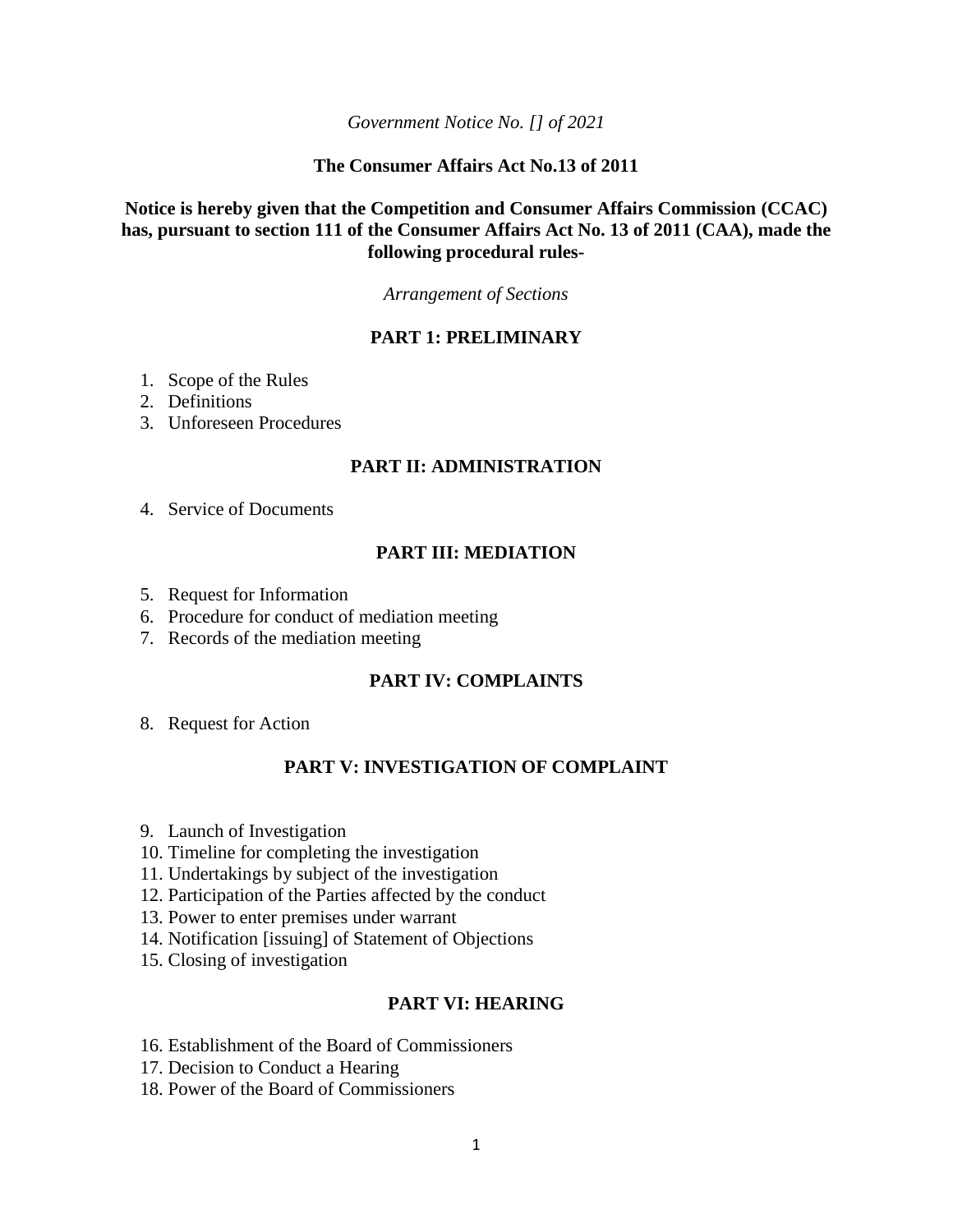*Government Notice No. [] of 2021*

### **The Consumer Affairs Act No.13 of 2011**

## **Notice is hereby given that the Competition and Consumer Affairs Commission (CCAC) has, pursuant to section 111 of the Consumer Affairs Act No. 13 of 2011 (CAA), made the following procedural rules-**

*Arrangement of Sections*

## **PART 1: PRELIMINARY**

- 1. Scope of the Rules
- 2. Definitions
- 3. Unforeseen Procedures

#### **PART II: ADMINISTRATION**

4. Service of Documents

## **PART III: MEDIATION**

- 5. Request for Information
- 6. Procedure for conduct of mediation meeting
- 7. Records of the mediation meeting

#### **PART IV: COMPLAINTS**

8. Request for Action

#### **PART V: INVESTIGATION OF COMPLAINT**

- 9. Launch of Investigation
- 10. Timeline for completing the investigation
- 11. Undertakings by subject of the investigation
- 12. Participation of the Parties affected by the conduct
- 13. Power to enter premises under warrant
- 14. Notification [issuing] of Statement of Objections
- 15. Closing of investigation

#### **PART VI: HEARING**

- 16. Establishment of the Board of Commissioners
- 17. Decision to Conduct a Hearing
- 18. Power of the Board of Commissioners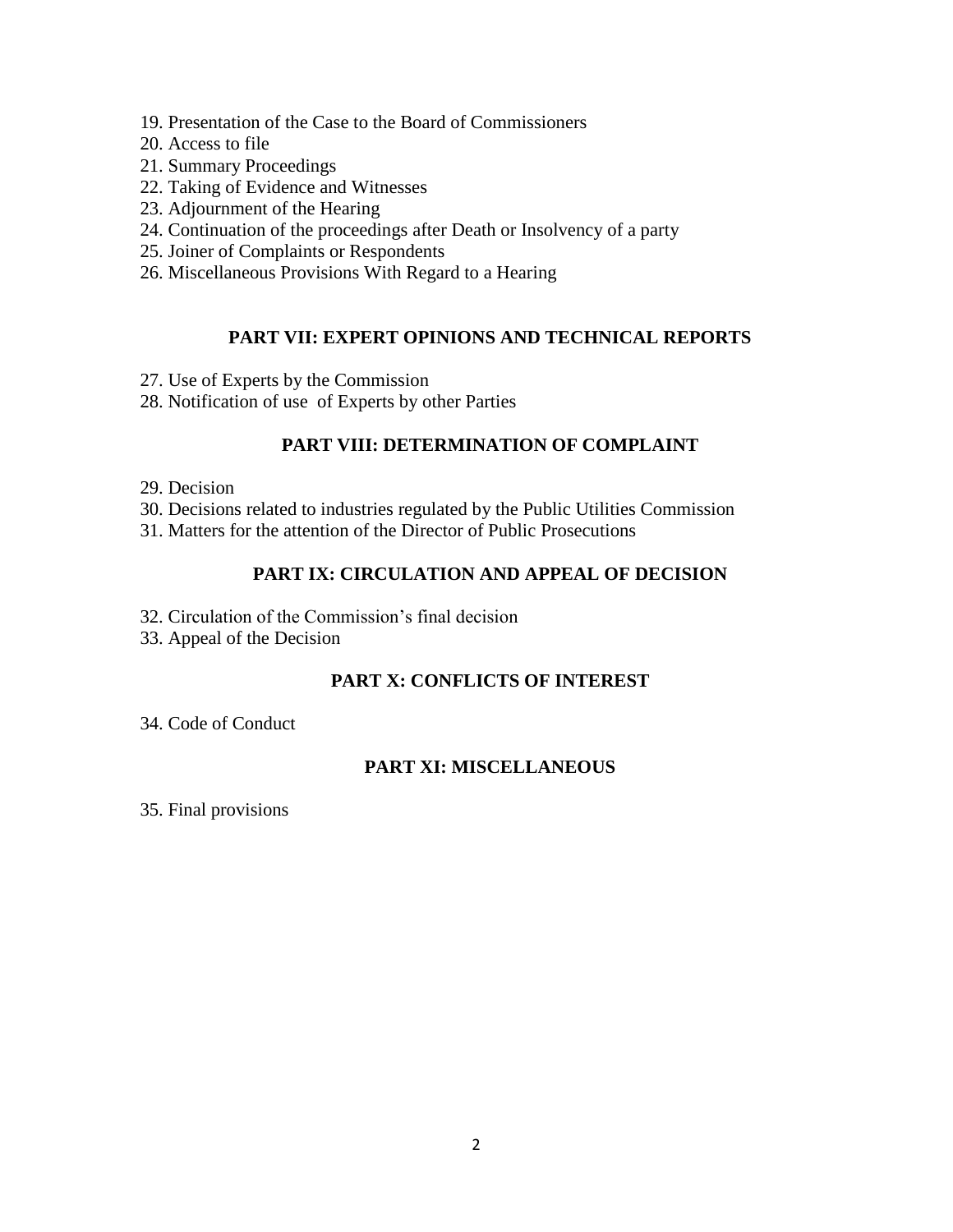- 19. Presentation of the Case to the Board of Commissioners
- 20. Access to file
- 21. Summary Proceedings
- 22. Taking of Evidence and Witnesses
- 23. Adjournment of the Hearing
- 24. Continuation of the proceedings after Death or Insolvency of a party
- 25. Joiner of Complaints or Respondents
- 26. Miscellaneous Provisions With Regard to a Hearing

# **PART VII: EXPERT OPINIONS AND TECHNICAL REPORTS**

- 27. Use of Experts by the Commission
- 28. Notification of use of Experts by other Parties

## **PART VIII: DETERMINATION OF COMPLAINT**

- 29. Decision
- 30. Decisions related to industries regulated by the Public Utilities Commission
- 31. Matters for the attention of the Director of Public Prosecutions

## **PART IX: CIRCULATION AND APPEAL OF DECISION**

- 32. Circulation of the Commission's final decision
- 33. Appeal of the Decision

## **PART X: CONFLICTS OF INTEREST**

34. Code of Conduct

## **PART XI: MISCELLANEOUS**

35. Final provisions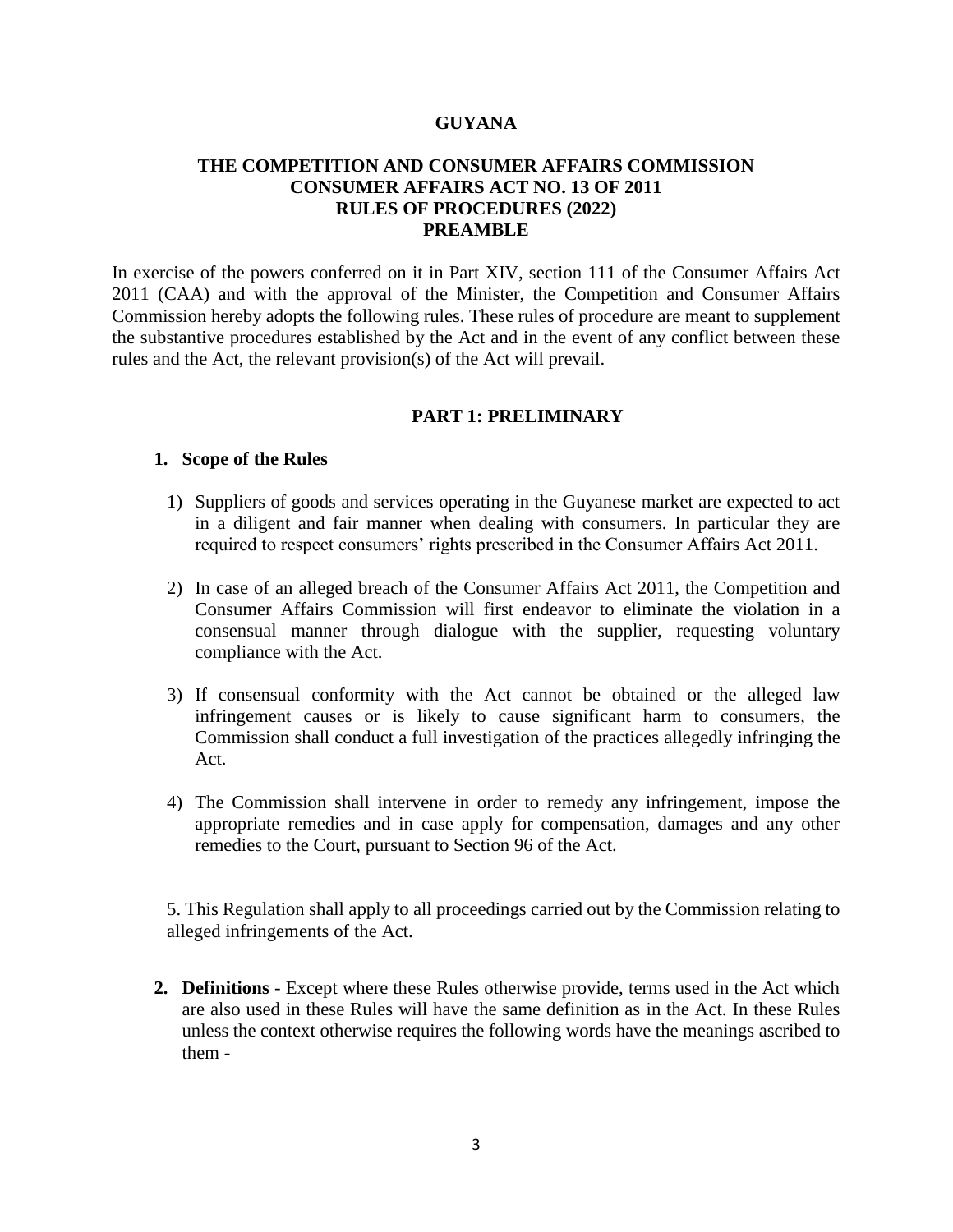#### **GUYANA**

### **THE COMPETITION AND CONSUMER AFFAIRS COMMISSION CONSUMER AFFAIRS ACT NO. 13 OF 2011 RULES OF PROCEDURES (2022) PREAMBLE**

In exercise of the powers conferred on it in Part XIV, section 111 of the Consumer Affairs Act 2011 (CAA) and with the approval of the Minister, the Competition and Consumer Affairs Commission hereby adopts the following rules. These rules of procedure are meant to supplement the substantive procedures established by the Act and in the event of any conflict between these rules and the Act, the relevant provision(s) of the Act will prevail.

#### **PART 1: PRELIMINARY**

#### **1. Scope of the Rules**

- 1) Suppliers of goods and services operating in the Guyanese market are expected to act in a diligent and fair manner when dealing with consumers. In particular they are required to respect consumers' rights prescribed in the Consumer Affairs Act 2011.
- 2) In case of an alleged breach of the Consumer Affairs Act 2011, the Competition and Consumer Affairs Commission will first endeavor to eliminate the violation in a consensual manner through dialogue with the supplier, requesting voluntary compliance with the Act.
- 3) If consensual conformity with the Act cannot be obtained or the alleged law infringement causes or is likely to cause significant harm to consumers, the Commission shall conduct a full investigation of the practices allegedly infringing the Act.
- 4) The Commission shall intervene in order to remedy any infringement, impose the appropriate remedies and in case apply for compensation, damages and any other remedies to the Court, pursuant to Section 96 of the Act.

5. This Regulation shall apply to all proceedings carried out by the Commission relating to alleged infringements of the Act.

**2. Definitions** - Except where these Rules otherwise provide, terms used in the Act which are also used in these Rules will have the same definition as in the Act. In these Rules unless the context otherwise requires the following words have the meanings ascribed to them -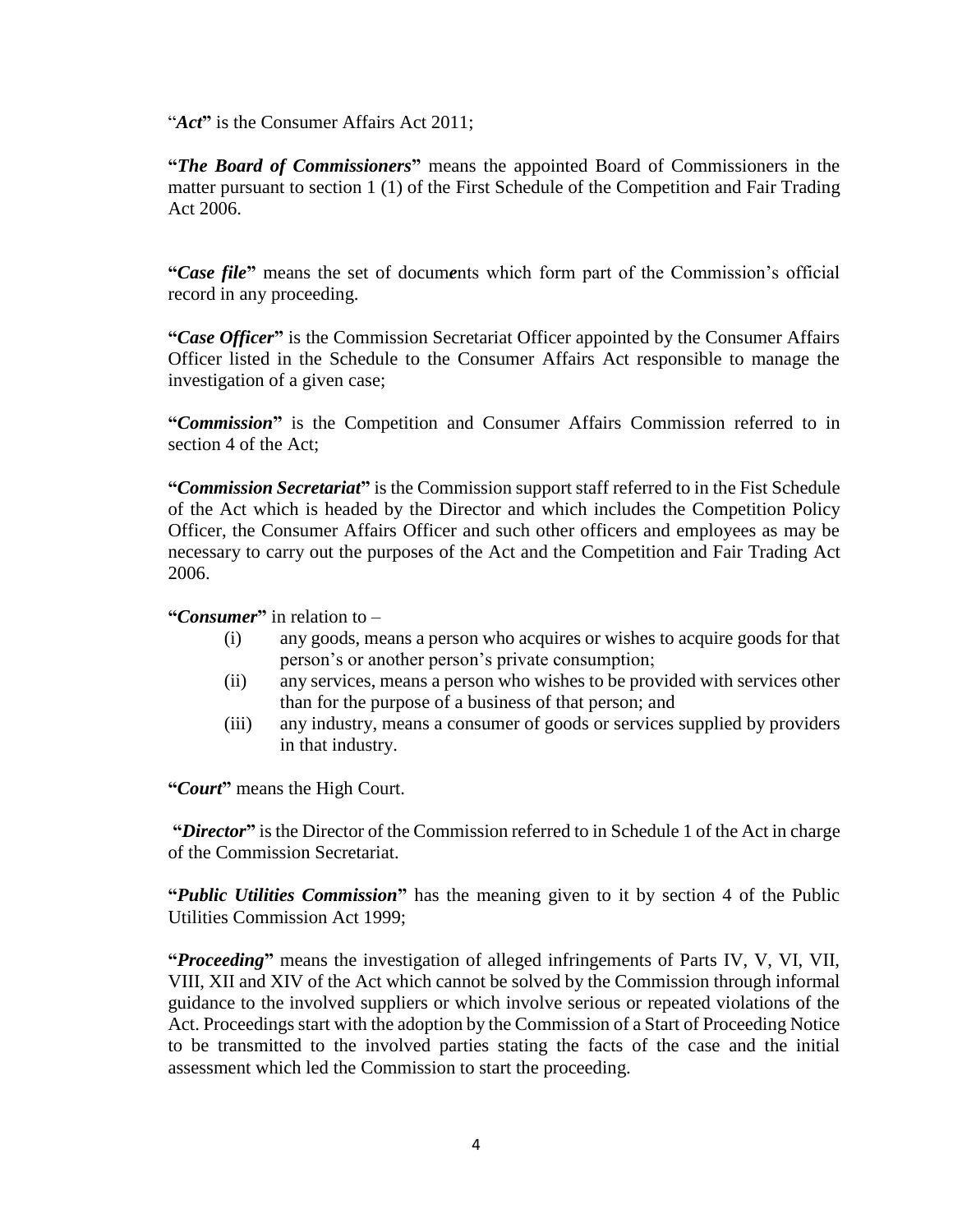"*Act***"** is the Consumer Affairs Act 2011;

**"***The Board of Commissioners***"** means the appointed Board of Commissioners in the matter pursuant to section 1 (1) of the First Schedule of the Competition and Fair Trading Act 2006.

**"***Case file***"** means the set of docum*e*nts which form part of the Commission's official record in any proceeding.

**"***Case Officer***"** is the Commission Secretariat Officer appointed by the Consumer Affairs Officer listed in the Schedule to the Consumer Affairs Act responsible to manage the investigation of a given case;

**"***Commission***"** is the Competition and Consumer Affairs Commission referred to in section 4 of the Act;

**"***Commission Secretariat***"** is the Commission support staff referred to in the Fist Schedule of the Act which is headed by the Director and which includes the Competition Policy Officer, the Consumer Affairs Officer and such other officers and employees as may be necessary to carry out the purposes of the Act and the Competition and Fair Trading Act 2006.

**"***Consumer***"** in relation to –

- (i) any goods, means a person who acquires or wishes to acquire goods for that person's or another person's private consumption;
- (ii) any services, means a person who wishes to be provided with services other than for the purpose of a business of that person; and
- (iii) any industry, means a consumer of goods or services supplied by providers in that industry.

**"***Court***"** means the High Court.

**"***Director***"** is the Director of the Commission referred to in Schedule 1 of the Act in charge of the Commission Secretariat.

**"***Public Utilities Commission***"** has the meaning given to it by section 4 of the Public Utilities Commission Act 1999;

**"***Proceeding***"** means the investigation of alleged infringements of Parts IV, V, VI, VII, VIII, XII and XIV of the Act which cannot be solved by the Commission through informal guidance to the involved suppliers or which involve serious or repeated violations of the Act. Proceedings start with the adoption by the Commission of a Start of Proceeding Notice to be transmitted to the involved parties stating the facts of the case and the initial assessment which led the Commission to start the proceeding.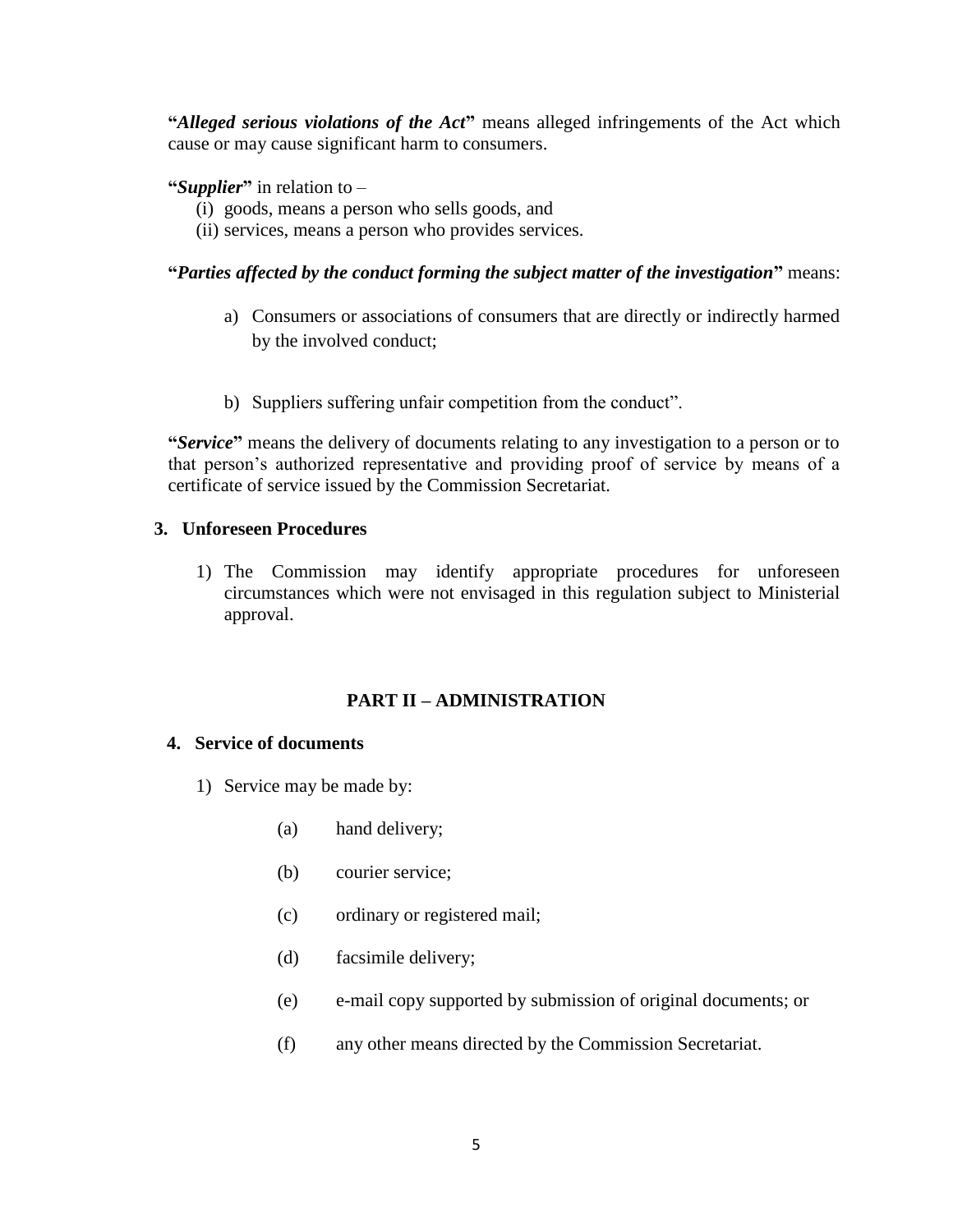**"***Alleged serious violations of the Act***"** means alleged infringements of the Act which cause or may cause significant harm to consumers.

### **"***Supplier***"** in relation to –

- (i) goods, means a person who sells goods, and
- (ii) services, means a person who provides services.

## **"***Parties affected by the conduct forming the subject matter of the investigation***"** means:

- a) Consumers or associations of consumers that are directly or indirectly harmed by the involved conduct;
- b) Suppliers suffering unfair competition from the conduct".

**"***Service***"** means the delivery of documents relating to any investigation to a person or to that person's authorized representative and providing proof of service by means of a certificate of service issued by the Commission Secretariat.

#### **3. Unforeseen Procedures**

1) The Commission may identify appropriate procedures for unforeseen circumstances which were not envisaged in this regulation subject to Ministerial approval.

## **PART II – ADMINISTRATION**

#### **4. Service of documents**

- 1) Service may be made by:
	- (a) hand delivery;
	- (b) courier service;
	- (c) ordinary or registered mail;
	- (d) facsimile delivery;
	- (e) e-mail copy supported by submission of original documents; or
	- (f) any other means directed by the Commission Secretariat.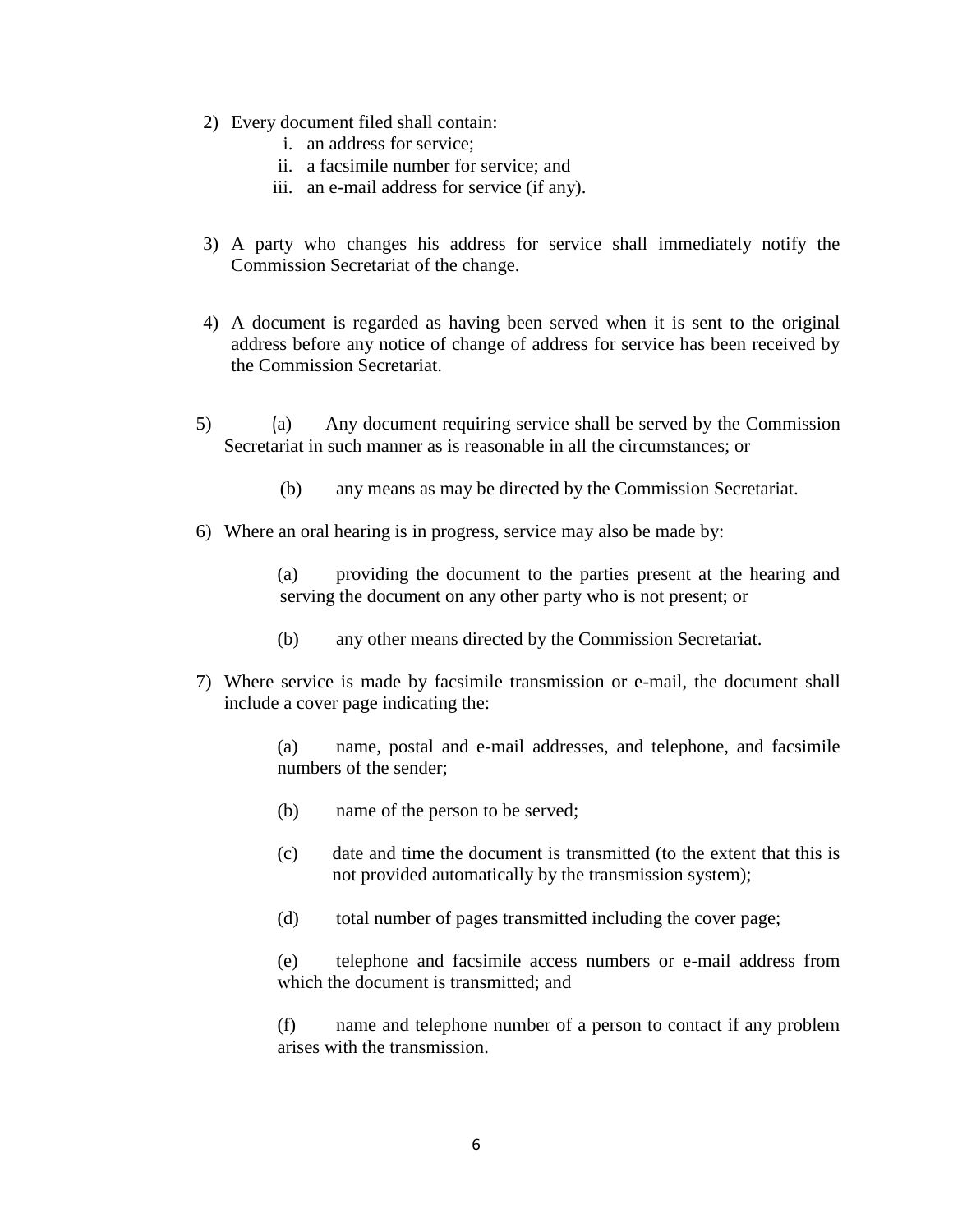- 2) Every document filed shall contain:
	- i. an address for service;
	- ii. a facsimile number for service; and
	- iii. an e-mail address for service (if any).
- 3) A party who changes his address for service shall immediately notify the Commission Secretariat of the change.
- 4) A document is regarded as having been served when it is sent to the original address before any notice of change of address for service has been received by the Commission Secretariat.
- 5) (a) Any document requiring service shall be served by the Commission Secretariat in such manner as is reasonable in all the circumstances; or
	- (b) any means as may be directed by the Commission Secretariat.
- 6) Where an oral hearing is in progress, service may also be made by:

(a) providing the document to the parties present at the hearing and serving the document on any other party who is not present; or

- (b) any other means directed by the Commission Secretariat.
- 7) Where service is made by facsimile transmission or e-mail, the document shall include a cover page indicating the:

(a) name, postal and e-mail addresses, and telephone, and facsimile numbers of the sender;

- (b) name of the person to be served;
- (c) date and time the document is transmitted (to the extent that this is not provided automatically by the transmission system);
- (d) total number of pages transmitted including the cover page;

(e) telephone and facsimile access numbers or e-mail address from which the document is transmitted; and

(f) name and telephone number of a person to contact if any problem arises with the transmission.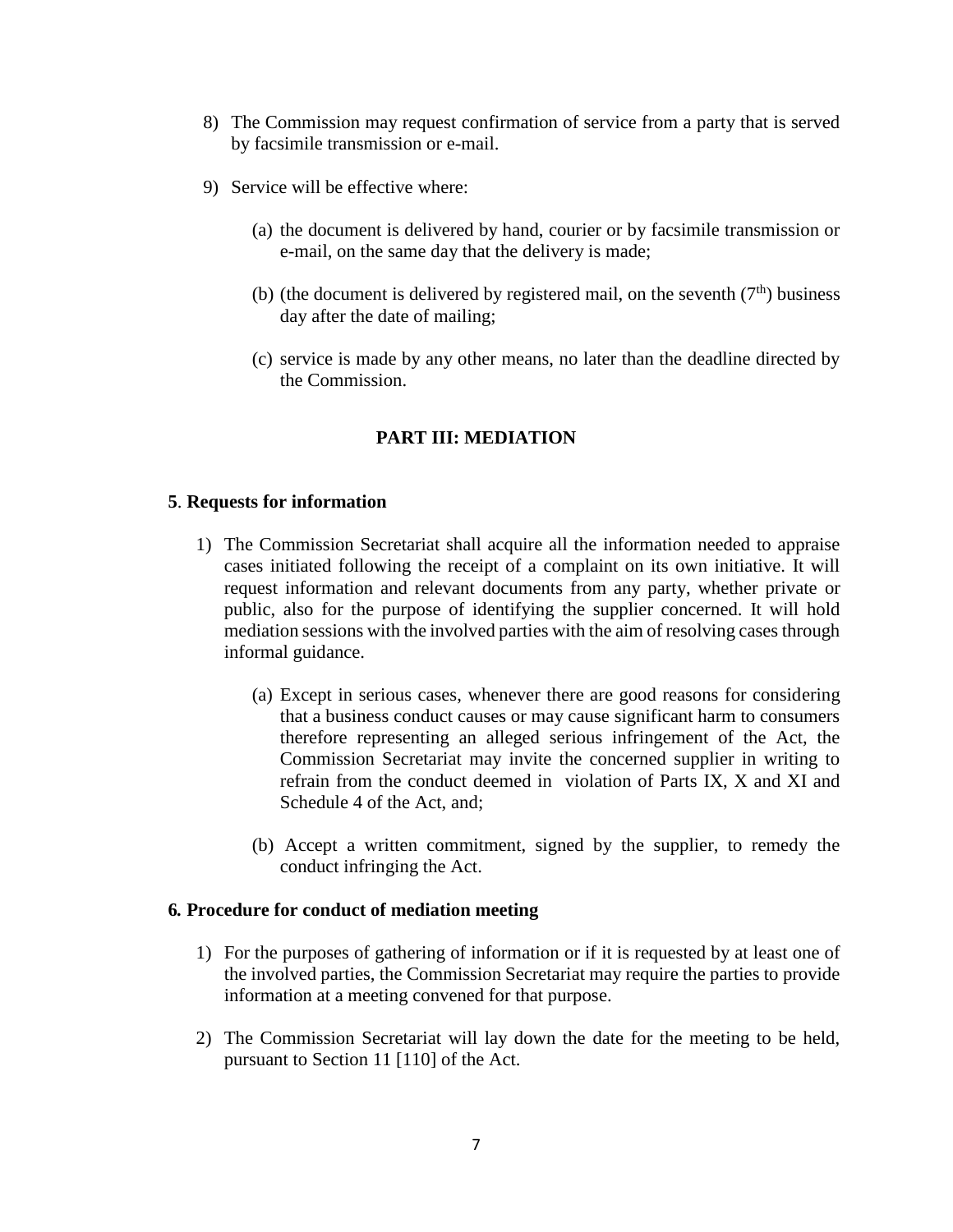- 8) The Commission may request confirmation of service from a party that is served by facsimile transmission or e-mail.
- 9) Service will be effective where:
	- (a) the document is delivered by hand, courier or by facsimile transmission or e-mail, on the same day that the delivery is made;
	- (b) (the document is delivered by registered mail, on the seventh  $(7<sup>th</sup>)$  business day after the date of mailing;
	- (c) service is made by any other means, no later than the deadline directed by the Commission.

## **PART III: MEDIATION**

#### **5**. **Requests for information**

- 1) The Commission Secretariat shall acquire all the information needed to appraise cases initiated following the receipt of a complaint on its own initiative. It will request information and relevant documents from any party, whether private or public, also for the purpose of identifying the supplier concerned. It will hold mediation sessions with the involved parties with the aim of resolving cases through informal guidance.
	- (a) Except in serious cases, whenever there are good reasons for considering that a business conduct causes or may cause significant harm to consumers therefore representing an alleged serious infringement of the Act, the Commission Secretariat may invite the concerned supplier in writing to refrain from the conduct deemed in violation of Parts IX, X and XI and Schedule 4 of the Act, and;
	- (b) Accept a written commitment, signed by the supplier, to remedy the conduct infringing the Act.

#### **6***.* **Procedure for conduct of mediation meeting**

- 1) For the purposes of gathering of information or if it is requested by at least one of the involved parties, the Commission Secretariat may require the parties to provide information at a meeting convened for that purpose.
- 2) The Commission Secretariat will lay down the date for the meeting to be held, pursuant to Section 11 [110] of the Act.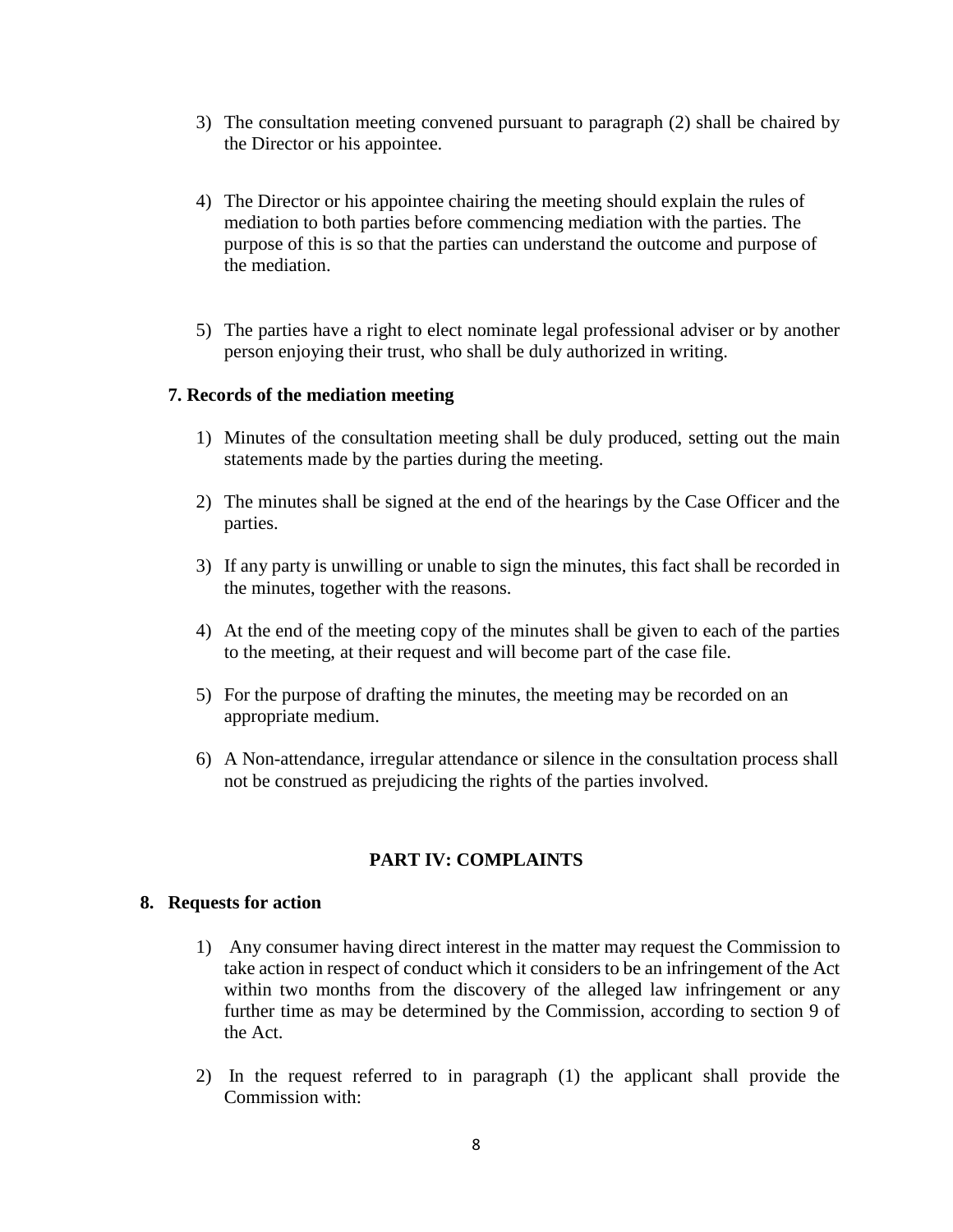- 3) The consultation meeting convened pursuant to paragraph (2) shall be chaired by the Director or his appointee.
- 4) The Director or his appointee chairing the meeting should explain the rules of mediation to both parties before commencing mediation with the parties. The purpose of this is so that the parties can understand the outcome and purpose of the mediation.
- 5) The parties have a right to elect nominate legal professional adviser or by another person enjoying their trust, who shall be duly authorized in writing.

#### **7. Records of the mediation meeting**

- 1) Minutes of the consultation meeting shall be duly produced, setting out the main statements made by the parties during the meeting.
- 2) The minutes shall be signed at the end of the hearings by the Case Officer and the parties.
- 3) If any party is unwilling or unable to sign the minutes, this fact shall be recorded in the minutes, together with the reasons.
- 4) At the end of the meeting copy of the minutes shall be given to each of the parties to the meeting, at their request and will become part of the case file.
- 5) For the purpose of drafting the minutes, the meeting may be recorded on an appropriate medium.
- 6) A Non-attendance, irregular attendance or silence in the consultation process shall not be construed as prejudicing the rights of the parties involved.

#### **PART IV: COMPLAINTS**

#### **8. Requests for action**

- 1) Any consumer having direct interest in the matter may request the Commission to take action in respect of conduct which it considers to be an infringement of the Act within two months from the discovery of the alleged law infringement or any further time as may be determined by the Commission, according to section 9 of the Act.
- 2) In the request referred to in paragraph (1) the applicant shall provide the Commission with: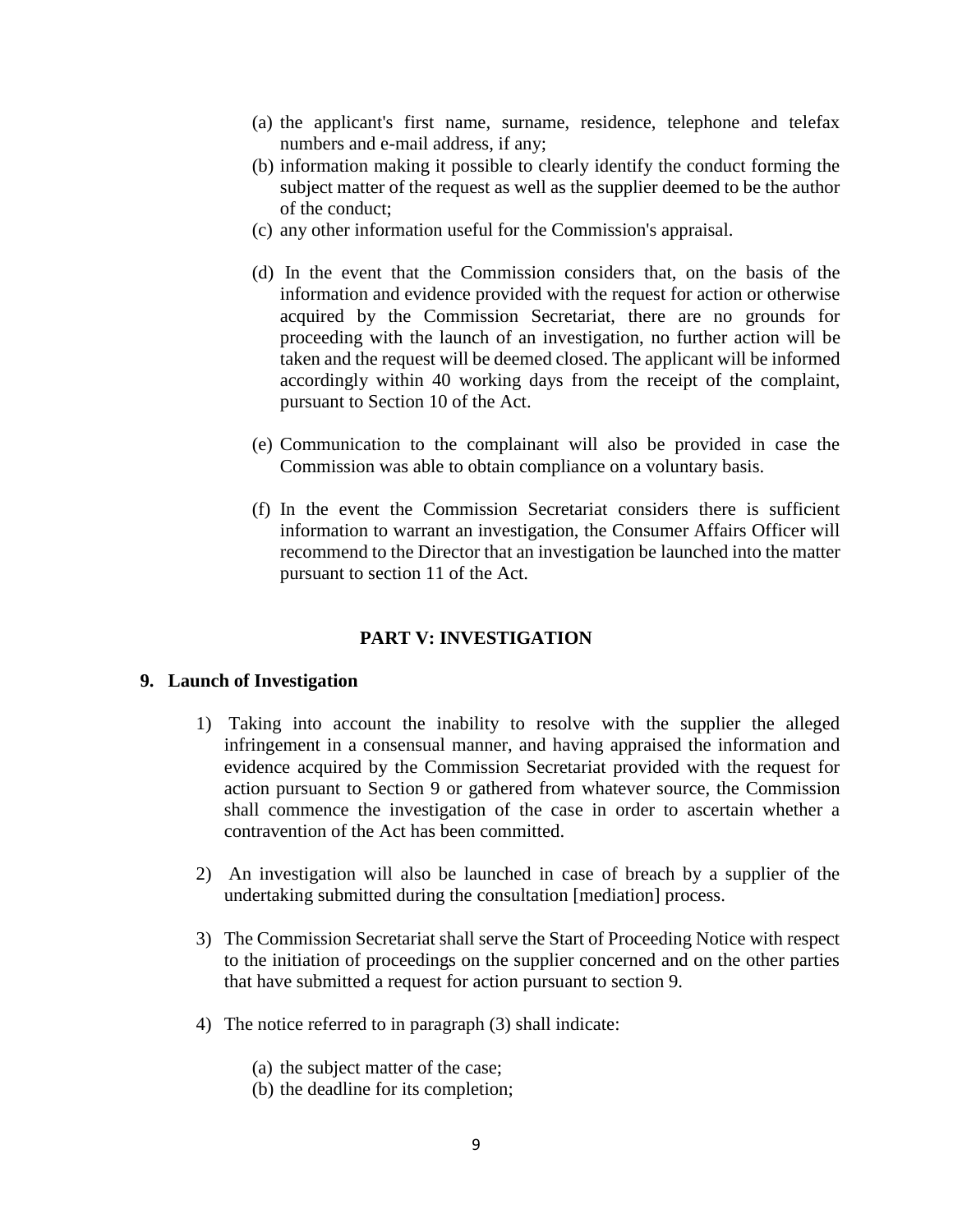- (a) the applicant's first name, surname, residence, telephone and telefax numbers and e-mail address, if any;
- (b) information making it possible to clearly identify the conduct forming the subject matter of the request as well as the supplier deemed to be the author of the conduct;
- (c) any other information useful for the Commission's appraisal.
- (d) In the event that the Commission considers that, on the basis of the information and evidence provided with the request for action or otherwise acquired by the Commission Secretariat, there are no grounds for proceeding with the launch of an investigation, no further action will be taken and the request will be deemed closed. The applicant will be informed accordingly within 40 working days from the receipt of the complaint, pursuant to Section 10 of the Act.
- (e) Communication to the complainant will also be provided in case the Commission was able to obtain compliance on a voluntary basis.
- (f) In the event the Commission Secretariat considers there is sufficient information to warrant an investigation, the Consumer Affairs Officer will recommend to the Director that an investigation be launched into the matter pursuant to section 11 of the Act.

## **PART V: INVESTIGATION**

#### **9. Launch of Investigation**

- 1) Taking into account the inability to resolve with the supplier the alleged infringement in a consensual manner, and having appraised the information and evidence acquired by the Commission Secretariat provided with the request for action pursuant to Section 9 or gathered from whatever source, the Commission shall commence the investigation of the case in order to ascertain whether a contravention of the Act has been committed.
- 2) An investigation will also be launched in case of breach by a supplier of the undertaking submitted during the consultation [mediation] process.
- 3) The Commission Secretariat shall serve the Start of Proceeding Notice with respect to the initiation of proceedings on the supplier concerned and on the other parties that have submitted a request for action pursuant to section 9.
- 4) The notice referred to in paragraph (3) shall indicate:
	- (a) the subject matter of the case;
	- (b) the deadline for its completion;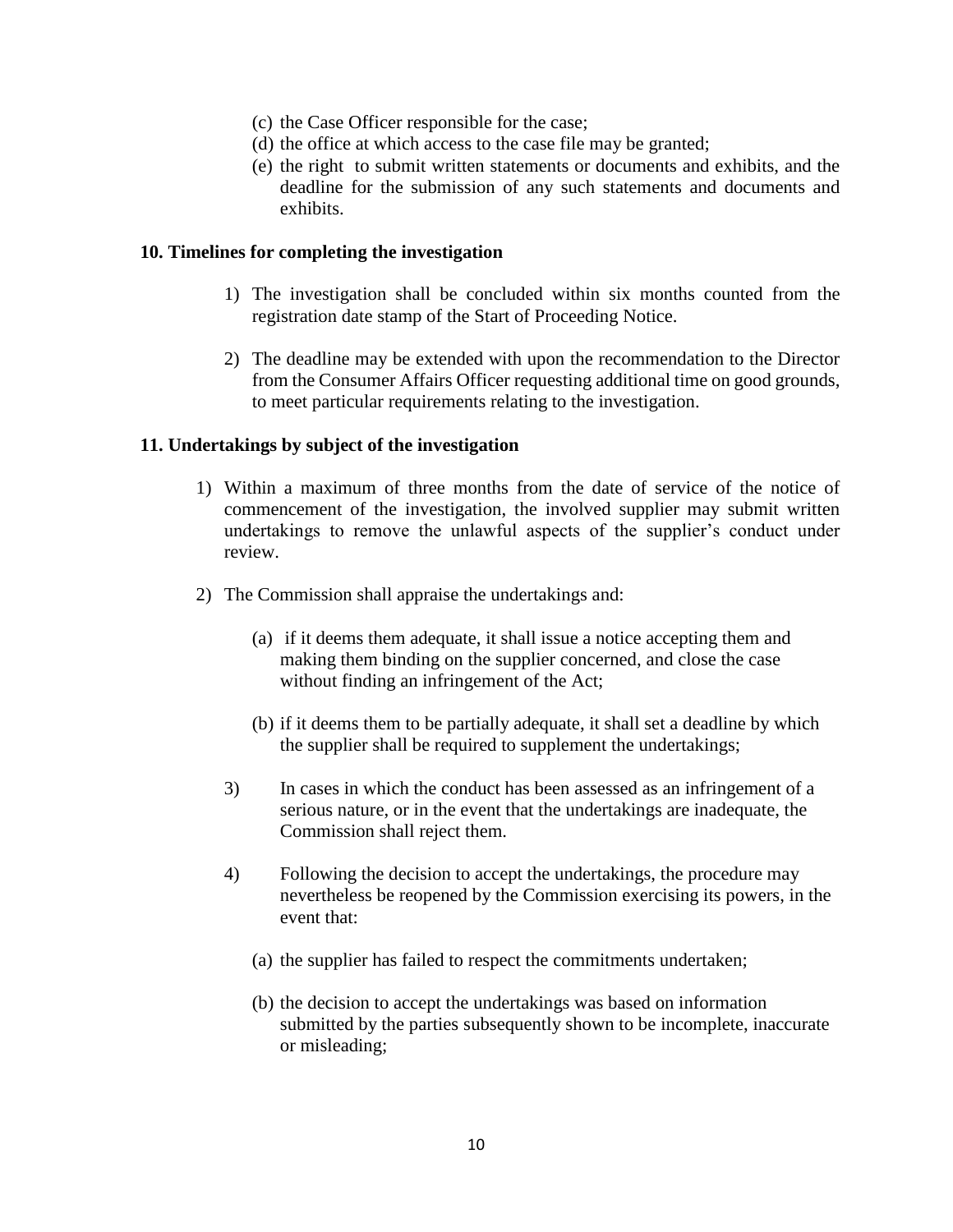- (c) the Case Officer responsible for the case;
- (d) the office at which access to the case file may be granted;
- (e) the right to submit written statements or documents and exhibits, and the deadline for the submission of any such statements and documents and exhibits.

#### **10. Timelines for completing the investigation**

- 1) The investigation shall be concluded within six months counted from the registration date stamp of the Start of Proceeding Notice.
- 2) The deadline may be extended with upon the recommendation to the Director from the Consumer Affairs Officer requesting additional time on good grounds, to meet particular requirements relating to the investigation.

#### **11. Undertakings by subject of the investigation**

- 1) Within a maximum of three months from the date of service of the notice of commencement of the investigation, the involved supplier may submit written undertakings to remove the unlawful aspects of the supplier's conduct under review.
- 2) The Commission shall appraise the undertakings and:
	- (a) if it deems them adequate, it shall issue a notice accepting them and making them binding on the supplier concerned, and close the case without finding an infringement of the Act;
	- (b) if it deems them to be partially adequate, it shall set a deadline by which the supplier shall be required to supplement the undertakings;
	- 3) In cases in which the conduct has been assessed as an infringement of a serious nature, or in the event that the undertakings are inadequate, the Commission shall reject them.
	- 4) Following the decision to accept the undertakings, the procedure may nevertheless be reopened by the Commission exercising its powers, in the event that:
		- (a) the supplier has failed to respect the commitments undertaken;
		- (b) the decision to accept the undertakings was based on information submitted by the parties subsequently shown to be incomplete, inaccurate or misleading;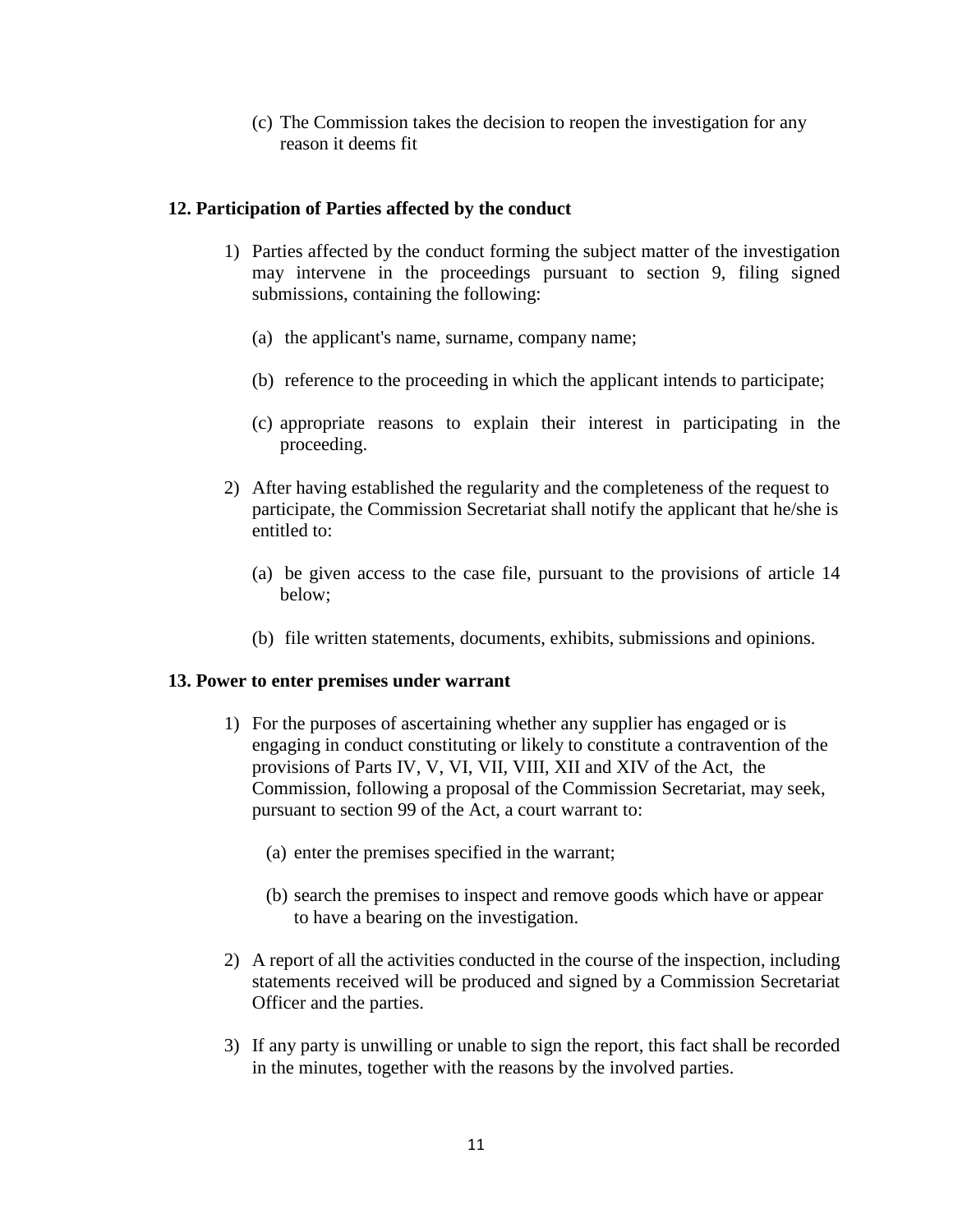(c) The Commission takes the decision to reopen the investigation for any reason it deems fit

### **12. Participation of Parties affected by the conduct**

- 1) Parties affected by the conduct forming the subject matter of the investigation may intervene in the proceedings pursuant to section 9, filing signed submissions, containing the following:
	- (a) the applicant's name, surname, company name;
	- (b) reference to the proceeding in which the applicant intends to participate;
	- (c) appropriate reasons to explain their interest in participating in the proceeding.
- 2) After having established the regularity and the completeness of the request to participate, the Commission Secretariat shall notify the applicant that he/she is entitled to:
	- (a) be given access to the case file, pursuant to the provisions of article 14 below;
	- (b) file written statements, documents, exhibits, submissions and opinions.

#### **13. Power to enter premises under warrant**

- 1) For the purposes of ascertaining whether any supplier has engaged or is engaging in conduct constituting or likely to constitute a contravention of the provisions of Parts IV, V, VI, VII, VIII, XII and XIV of the Act, the Commission, following a proposal of the Commission Secretariat, may seek, pursuant to section 99 of the Act, a court warrant to:
	- (a) enter the premises specified in the warrant;
	- (b) search the premises to inspect and remove goods which have or appear to have a bearing on the investigation.
- 2) A report of all the activities conducted in the course of the inspection, including statements received will be produced and signed by a Commission Secretariat Officer and the parties.
- 3) If any party is unwilling or unable to sign the report, this fact shall be recorded in the minutes, together with the reasons by the involved parties.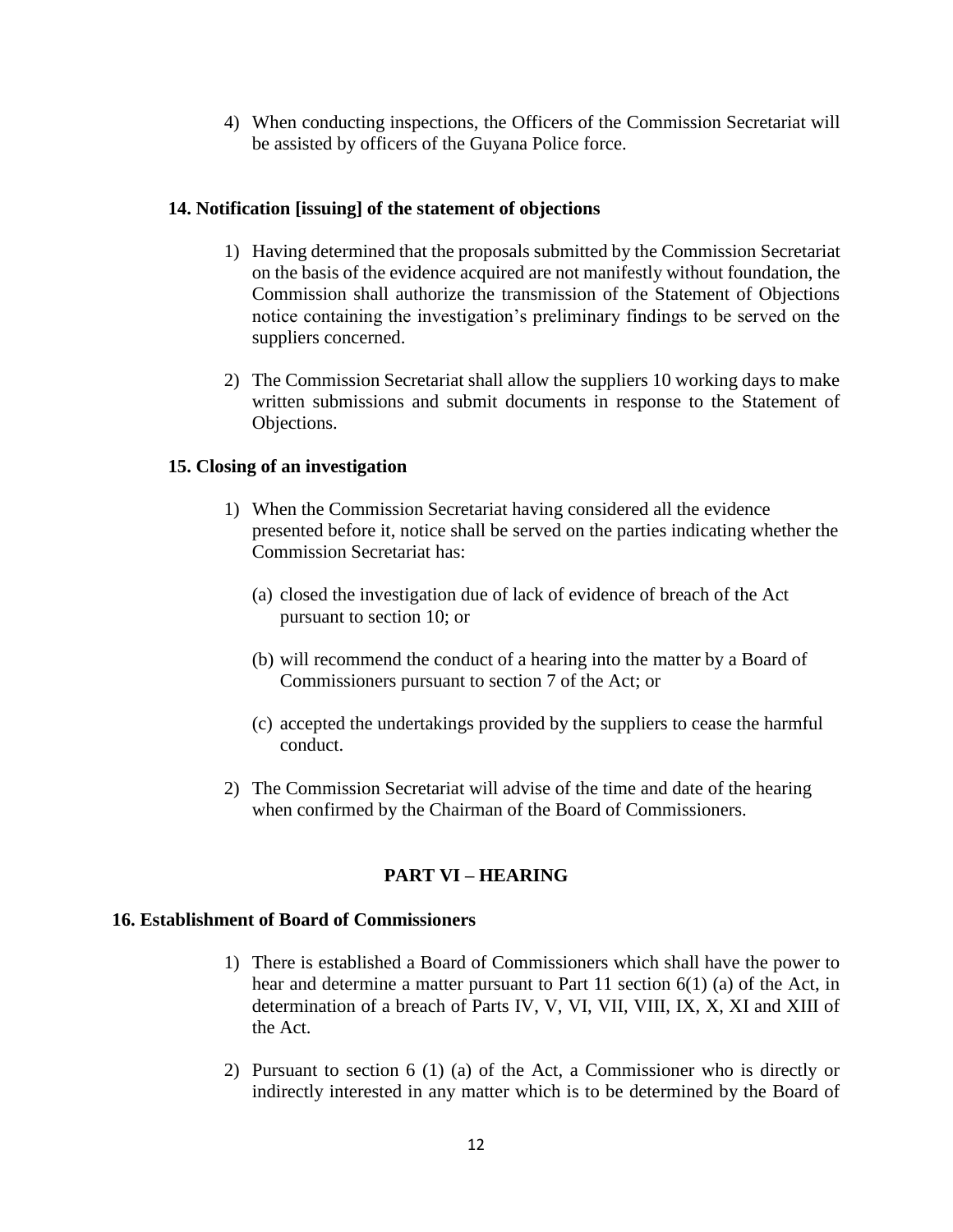4) When conducting inspections, the Officers of the Commission Secretariat will be assisted by officers of the Guyana Police force.

#### **14. Notification [issuing] of the statement of objections**

- 1) Having determined that the proposals submitted by the Commission Secretariat on the basis of the evidence acquired are not manifestly without foundation, the Commission shall authorize the transmission of the Statement of Objections notice containing the investigation's preliminary findings to be served on the suppliers concerned.
- 2) The Commission Secretariat shall allow the suppliers 10 working days to make written submissions and submit documents in response to the Statement of Objections.

## **15. Closing of an investigation**

- 1) When the Commission Secretariat having considered all the evidence presented before it, notice shall be served on the parties indicating whether the Commission Secretariat has:
	- (a) closed the investigation due of lack of evidence of breach of the Act pursuant to section 10; or
	- (b) will recommend the conduct of a hearing into the matter by a Board of Commissioners pursuant to section 7 of the Act; or
	- (c) accepted the undertakings provided by the suppliers to cease the harmful conduct.
- 2) The Commission Secretariat will advise of the time and date of the hearing when confirmed by the Chairman of the Board of Commissioners.

## **PART VI – HEARING**

#### **16. Establishment of Board of Commissioners**

- 1) There is established a Board of Commissioners which shall have the power to hear and determine a matter pursuant to Part 11 section 6(1) (a) of the Act, in determination of a breach of Parts IV, V, VI, VII, VIII, IX, X, XI and XIII of the Act.
- 2) Pursuant to section 6 (1) (a) of the Act, a Commissioner who is directly or indirectly interested in any matter which is to be determined by the Board of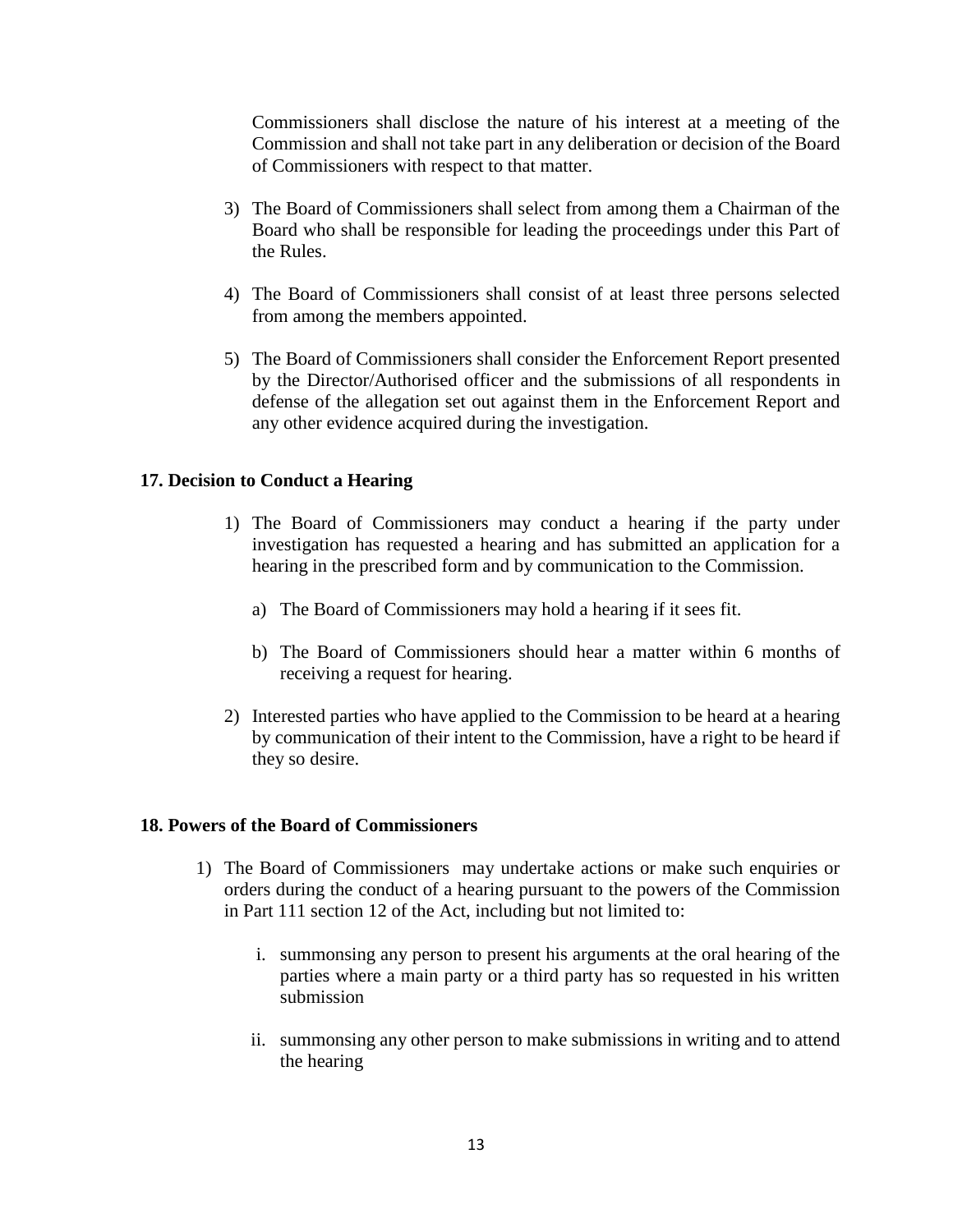Commissioners shall disclose the nature of his interest at a meeting of the Commission and shall not take part in any deliberation or decision of the Board of Commissioners with respect to that matter.

- 3) The Board of Commissioners shall select from among them a Chairman of the Board who shall be responsible for leading the proceedings under this Part of the Rules.
- 4) The Board of Commissioners shall consist of at least three persons selected from among the members appointed.
- 5) The Board of Commissioners shall consider the Enforcement Report presented by the Director/Authorised officer and the submissions of all respondents in defense of the allegation set out against them in the Enforcement Report and any other evidence acquired during the investigation.

#### **17. Decision to Conduct a Hearing**

- 1) The Board of Commissioners may conduct a hearing if the party under investigation has requested a hearing and has submitted an application for a hearing in the prescribed form and by communication to the Commission.
	- a) The Board of Commissioners may hold a hearing if it sees fit.
	- b) The Board of Commissioners should hear a matter within 6 months of receiving a request for hearing.
- 2) Interested parties who have applied to the Commission to be heard at a hearing by communication of their intent to the Commission, have a right to be heard if they so desire.

#### **18. Powers of the Board of Commissioners**

- 1) The Board of Commissioners may undertake actions or make such enquiries or orders during the conduct of a hearing pursuant to the powers of the Commission in Part 111 section 12 of the Act, including but not limited to:
	- i. summonsing any person to present his arguments at the oral hearing of the parties where a main party or a third party has so requested in his written submission
	- ii. summonsing any other person to make submissions in writing and to attend the hearing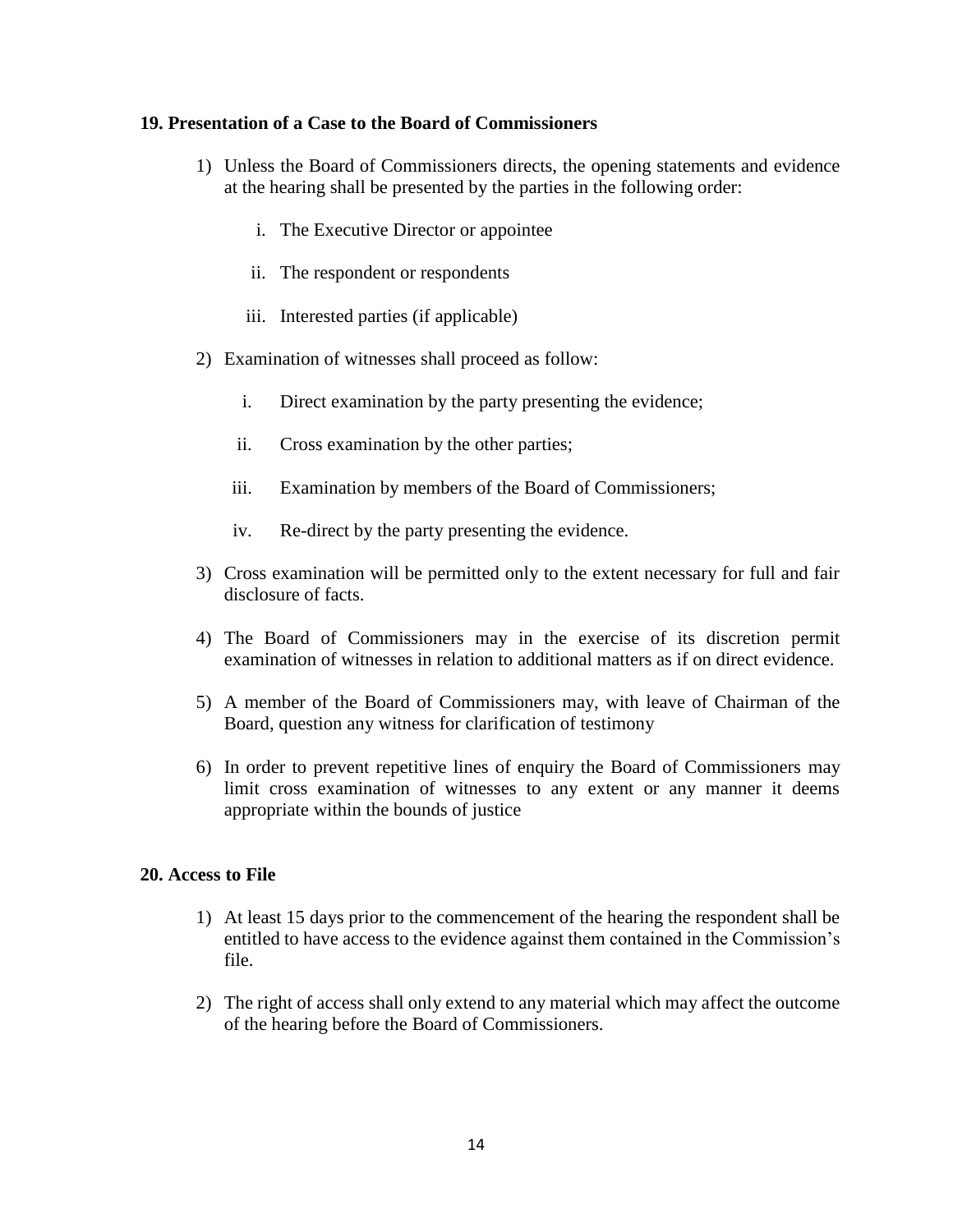#### **19. Presentation of a Case to the Board of Commissioners**

- 1) Unless the Board of Commissioners directs, the opening statements and evidence at the hearing shall be presented by the parties in the following order:
	- i. The Executive Director or appointee
	- ii. The respondent or respondents
	- iii. Interested parties (if applicable)
- 2) Examination of witnesses shall proceed as follow:
	- i. Direct examination by the party presenting the evidence;
	- ii. Cross examination by the other parties;
	- iii. Examination by members of the Board of Commissioners;
	- iv. Re-direct by the party presenting the evidence.
- 3) Cross examination will be permitted only to the extent necessary for full and fair disclosure of facts.
- 4) The Board of Commissioners may in the exercise of its discretion permit examination of witnesses in relation to additional matters as if on direct evidence.
- 5) A member of the Board of Commissioners may, with leave of Chairman of the Board, question any witness for clarification of testimony
- 6) In order to prevent repetitive lines of enquiry the Board of Commissioners may limit cross examination of witnesses to any extent or any manner it deems appropriate within the bounds of justice

#### **20. Access to File**

- 1) At least 15 days prior to the commencement of the hearing the respondent shall be entitled to have access to the evidence against them contained in the Commission's file.
- 2) The right of access shall only extend to any material which may affect the outcome of the hearing before the Board of Commissioners.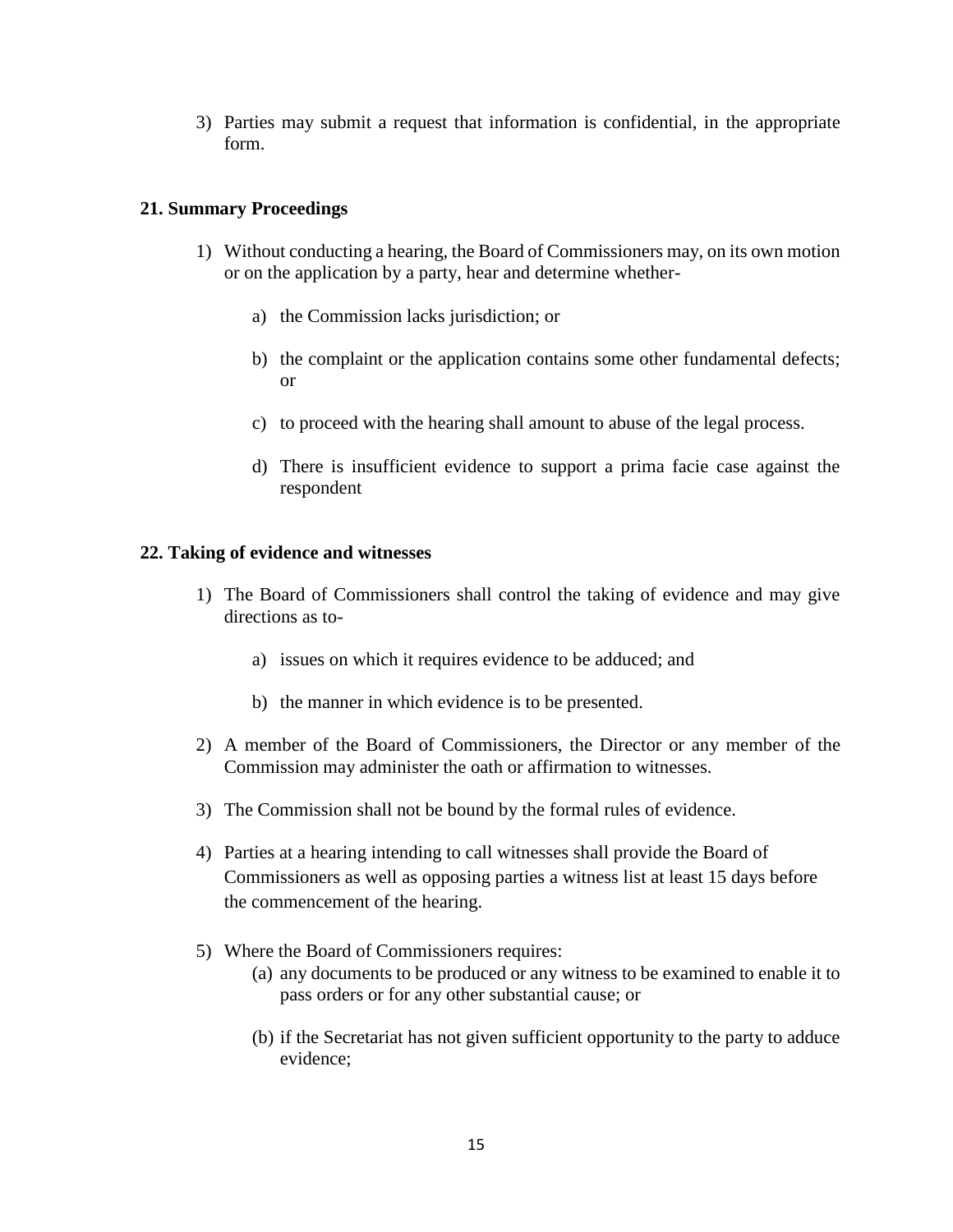3) Parties may submit a request that information is confidential, in the appropriate form.

#### **21. Summary Proceedings**

- 1) Without conducting a hearing, the Board of Commissioners may, on its own motion or on the application by a party, hear and determine whether
	- a) the Commission lacks jurisdiction; or
	- b) the complaint or the application contains some other fundamental defects; or
	- c) to proceed with the hearing shall amount to abuse of the legal process.
	- d) There is insufficient evidence to support a prima facie case against the respondent

#### **22. Taking of evidence and witnesses**

- 1) The Board of Commissioners shall control the taking of evidence and may give directions as to
	- a) issues on which it requires evidence to be adduced; and
	- b) the manner in which evidence is to be presented.
- 2) A member of the Board of Commissioners, the Director or any member of the Commission may administer the oath or affirmation to witnesses.
- 3) The Commission shall not be bound by the formal rules of evidence.
- 4) Parties at a hearing intending to call witnesses shall provide the Board of Commissioners as well as opposing parties a witness list at least 15 days before the commencement of the hearing.
- 5) Where the Board of Commissioners requires:
	- (a) any documents to be produced or any witness to be examined to enable it to pass orders or for any other substantial cause; or
	- (b) if the Secretariat has not given sufficient opportunity to the party to adduce evidence;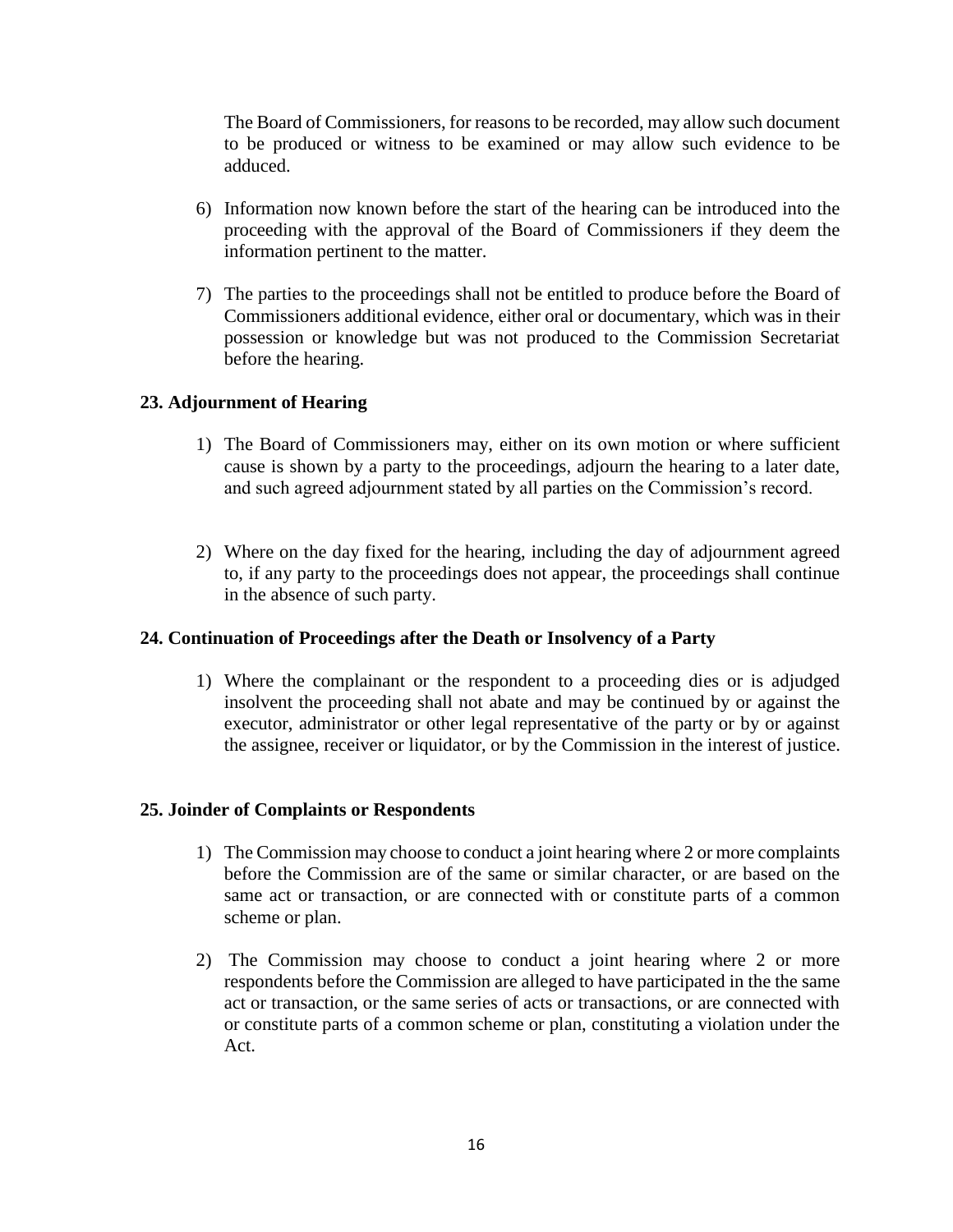The Board of Commissioners, for reasons to be recorded, may allow such document to be produced or witness to be examined or may allow such evidence to be adduced.

- 6) Information now known before the start of the hearing can be introduced into the proceeding with the approval of the Board of Commissioners if they deem the information pertinent to the matter.
- 7) The parties to the proceedings shall not be entitled to produce before the Board of Commissioners additional evidence, either oral or documentary, which was in their possession or knowledge but was not produced to the Commission Secretariat before the hearing.

## **23. Adjournment of Hearing**

- 1) The Board of Commissioners may, either on its own motion or where sufficient cause is shown by a party to the proceedings, adjourn the hearing to a later date, and such agreed adjournment stated by all parties on the Commission's record.
- 2) Where on the day fixed for the hearing, including the day of adjournment agreed to, if any party to the proceedings does not appear, the proceedings shall continue in the absence of such party.

#### **24. Continuation of Proceedings after the Death or Insolvency of a Party**

1) Where the complainant or the respondent to a proceeding dies or is adjudged insolvent the proceeding shall not abate and may be continued by or against the executor, administrator or other legal representative of the party or by or against the assignee, receiver or liquidator, or by the Commission in the interest of justice.

#### **25. Joinder of Complaints or Respondents**

- 1) The Commission may choose to conduct a joint hearing where 2 or more complaints before the Commission are of the same or similar character, or are based on the same act or transaction, or are connected with or constitute parts of a common scheme or plan.
- 2) The Commission may choose to conduct a joint hearing where 2 or more respondents before the Commission are alleged to have participated in the the same act or transaction, or the same series of acts or transactions, or are connected with or constitute parts of a common scheme or plan, constituting a violation under the Act.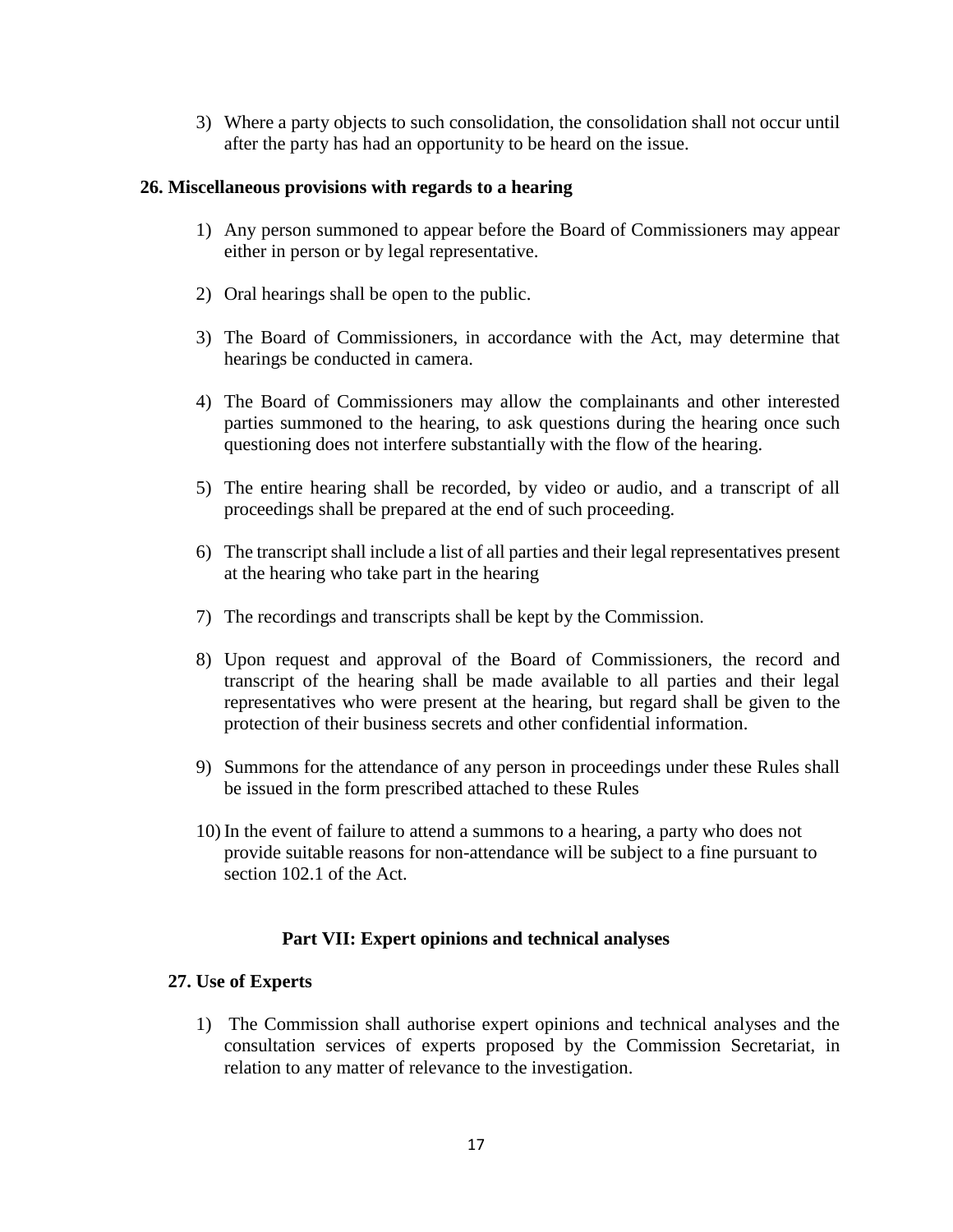3) Where a party objects to such consolidation, the consolidation shall not occur until after the party has had an opportunity to be heard on the issue.

#### **26. Miscellaneous provisions with regards to a hearing**

- 1) Any person summoned to appear before the Board of Commissioners may appear either in person or by legal representative.
- 2) Oral hearings shall be open to the public.
- 3) The Board of Commissioners, in accordance with the Act, may determine that hearings be conducted in camera.
- 4) The Board of Commissioners may allow the complainants and other interested parties summoned to the hearing, to ask questions during the hearing once such questioning does not interfere substantially with the flow of the hearing.
- 5) The entire hearing shall be recorded, by video or audio, and a transcript of all proceedings shall be prepared at the end of such proceeding.
- 6) The transcript shall include a list of all parties and their legal representatives present at the hearing who take part in the hearing
- 7) The recordings and transcripts shall be kept by the Commission.
- 8) Upon request and approval of the Board of Commissioners, the record and transcript of the hearing shall be made available to all parties and their legal representatives who were present at the hearing, but regard shall be given to the protection of their business secrets and other confidential information.
- 9) Summons for the attendance of any person in proceedings under these Rules shall be issued in the form prescribed attached to these Rules
- 10) In the event of failure to attend a summons to a hearing, a party who does not provide suitable reasons for non-attendance will be subject to a fine pursuant to section 102.1 of the Act.

#### **Part VII: Expert opinions and technical analyses**

#### **27. Use of Experts**

1) The Commission shall authorise expert opinions and technical analyses and the consultation services of experts proposed by the Commission Secretariat, in relation to any matter of relevance to the investigation.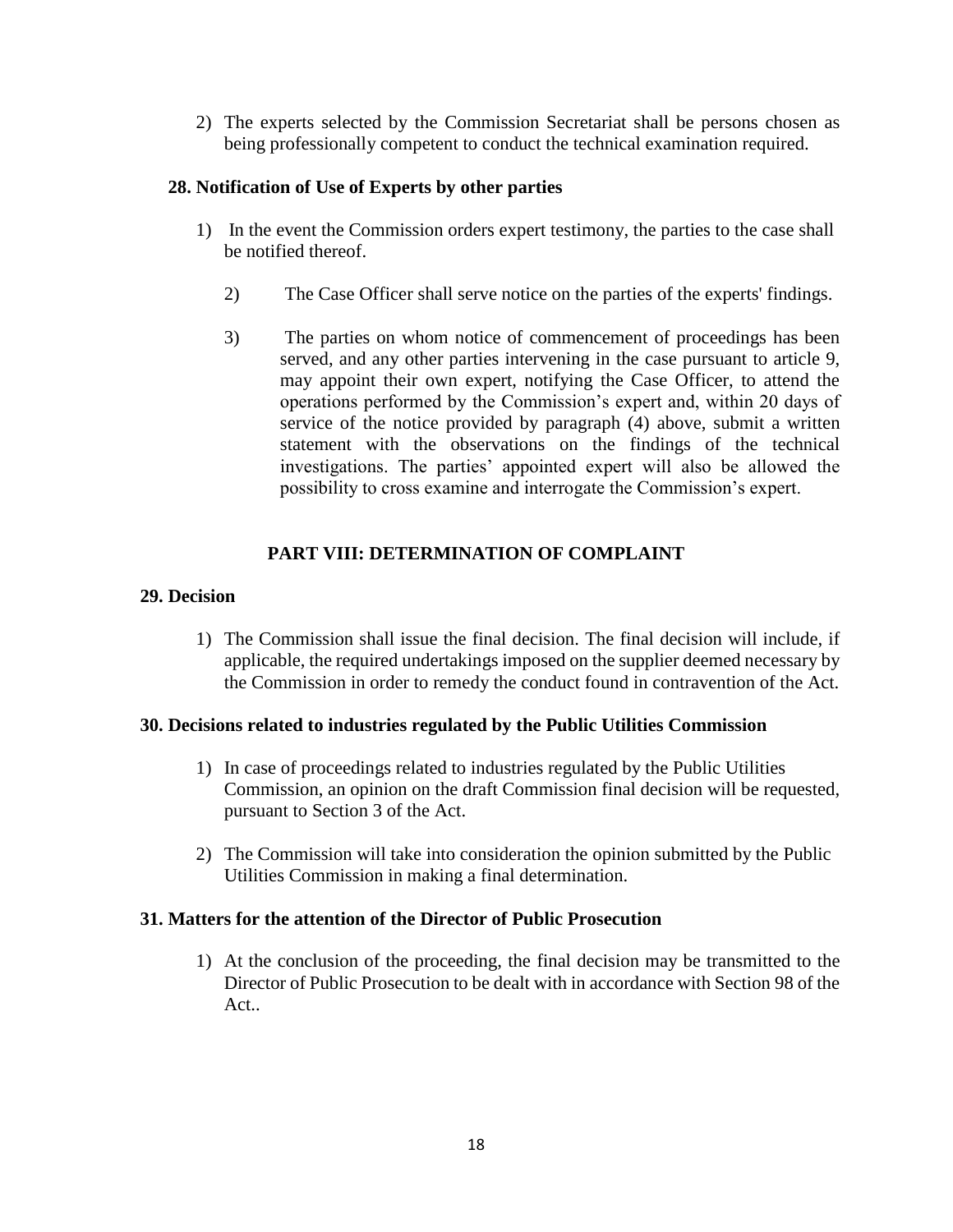2) The experts selected by the Commission Secretariat shall be persons chosen as being professionally competent to conduct the technical examination required.

### **28. Notification of Use of Experts by other parties**

- 1) In the event the Commission orders expert testimony, the parties to the case shall be notified thereof.
	- 2) The Case Officer shall serve notice on the parties of the experts' findings.
	- 3) The parties on whom notice of commencement of proceedings has been served, and any other parties intervening in the case pursuant to article 9, may appoint their own expert, notifying the Case Officer, to attend the operations performed by the Commission's expert and, within 20 days of service of the notice provided by paragraph (4) above, submit a written statement with the observations on the findings of the technical investigations. The parties' appointed expert will also be allowed the possibility to cross examine and interrogate the Commission's expert.

## **PART VIII: DETERMINATION OF COMPLAINT**

## **29. Decision**

1) The Commission shall issue the final decision. The final decision will include, if applicable, the required undertakings imposed on the supplier deemed necessary by the Commission in order to remedy the conduct found in contravention of the Act.

#### **30. Decisions related to industries regulated by the Public Utilities Commission**

- 1) In case of proceedings related to industries regulated by the Public Utilities Commission, an opinion on the draft Commission final decision will be requested, pursuant to Section 3 of the Act.
- 2) The Commission will take into consideration the opinion submitted by the Public Utilities Commission in making a final determination.

## **31. Matters for the attention of the Director of Public Prosecution**

1) At the conclusion of the proceeding, the final decision may be transmitted to the Director of Public Prosecution to be dealt with in accordance with Section 98 of the Act..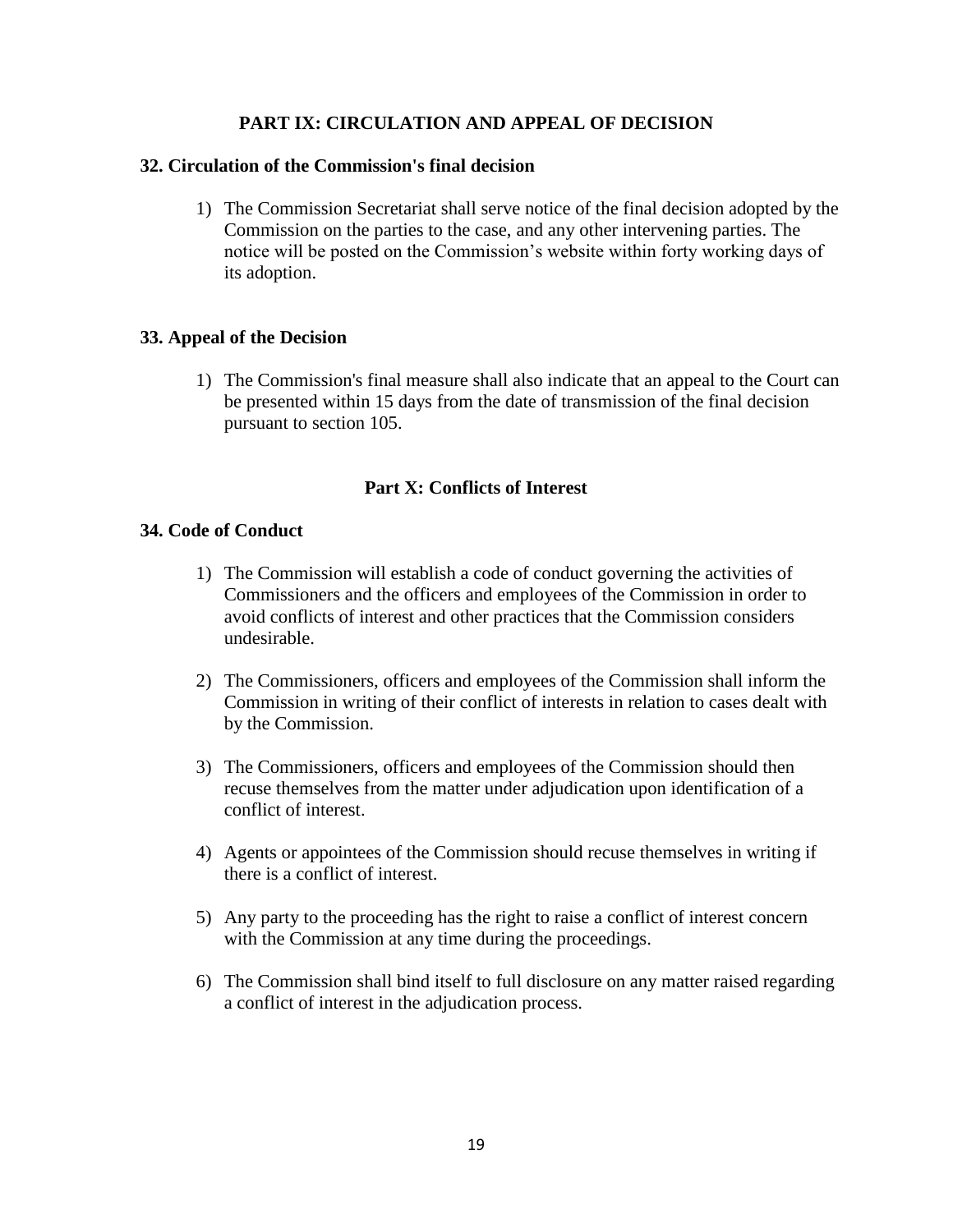## **PART IX: CIRCULATION AND APPEAL OF DECISION**

#### **32. Circulation of the Commission's final decision**

1) The Commission Secretariat shall serve notice of the final decision adopted by the Commission on the parties to the case, and any other intervening parties. The notice will be posted on the Commission's website within forty working days of its adoption.

#### **33. Appeal of the Decision**

1) The Commission's final measure shall also indicate that an appeal to the Court can be presented within 15 days from the date of transmission of the final decision pursuant to section 105.

#### **Part X: Conflicts of Interest**

#### **34. Code of Conduct**

- 1) The Commission will establish a code of conduct governing the activities of Commissioners and the officers and employees of the Commission in order to avoid conflicts of interest and other practices that the Commission considers undesirable.
- 2) The Commissioners, officers and employees of the Commission shall inform the Commission in writing of their conflict of interests in relation to cases dealt with by the Commission.
- 3) The Commissioners, officers and employees of the Commission should then recuse themselves from the matter under adjudication upon identification of a conflict of interest.
- 4) Agents or appointees of the Commission should recuse themselves in writing if there is a conflict of interest.
- 5) Any party to the proceeding has the right to raise a conflict of interest concern with the Commission at any time during the proceedings.
- 6) The Commission shall bind itself to full disclosure on any matter raised regarding a conflict of interest in the adjudication process.